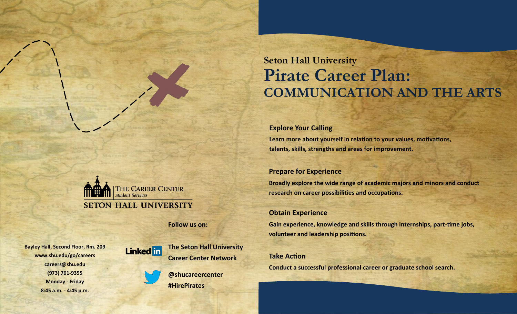# **Seton Hall University Pirate Career Plan: COMMUNICATION AND THE ARTS**

### **Explore Your Calling**

**Learn more about yourself in relation to your values, motivations, talents, skills, strengths and areas for improvement.**

### **Prepare for Experience**

**Broadly explore the wide range of academic majors and minors and conduct research on career possibilities and occupations.**

### **Obtain Experience**

**Gain experience, knowledge and skills through internships, part-time jobs, volunteer and leadership positions.**

### **Take Action**

**Conduct a successful professional career or graduate school search.**

THE CAREER CENTER **Student Services SETON HALL UNIVERSITY** 

**Follow us on:**

**Bayley Hall, Second Floor, Rm. 209 www.shu.edu/go/careers careers@shu.edu (973) 761-9355 Monday - Friday 8:45 a.m. - 4:45 p.m.**



**The Seton Hall University Career Center Network**

**@shucareercenter #HirePirates**